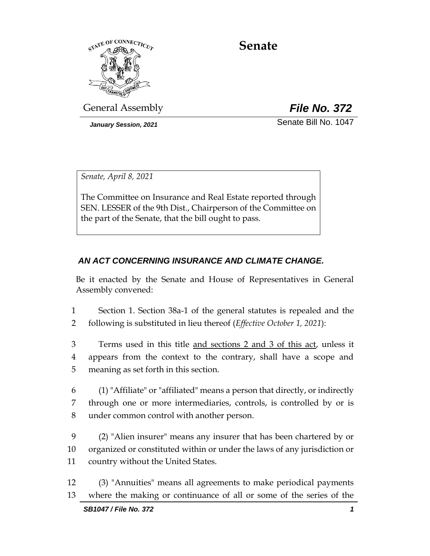

# **Senate**

General Assembly *File No. 372*

*January Session, 2021* Senate Bill No. 1047

*Senate, April 8, 2021*

The Committee on Insurance and Real Estate reported through SEN. LESSER of the 9th Dist., Chairperson of the Committee on the part of the Senate, that the bill ought to pass.

# *AN ACT CONCERNING INSURANCE AND CLIMATE CHANGE.*

Be it enacted by the Senate and House of Representatives in General Assembly convened:

1 Section 1. Section 38a-1 of the general statutes is repealed and the 2 following is substituted in lieu thereof (*Effective October 1, 2021*):

3 Terms used in this title and sections 2 and 3 of this act, unless it 4 appears from the context to the contrary, shall have a scope and 5 meaning as set forth in this section.

6 (1) "Affiliate" or "affiliated" means a person that directly, or indirectly 7 through one or more intermediaries, controls, is controlled by or is 8 under common control with another person.

9 (2) "Alien insurer" means any insurer that has been chartered by or 10 organized or constituted within or under the laws of any jurisdiction or 11 country without the United States.

12 (3) "Annuities" means all agreements to make periodical payments 13 where the making or continuance of all or some of the series of the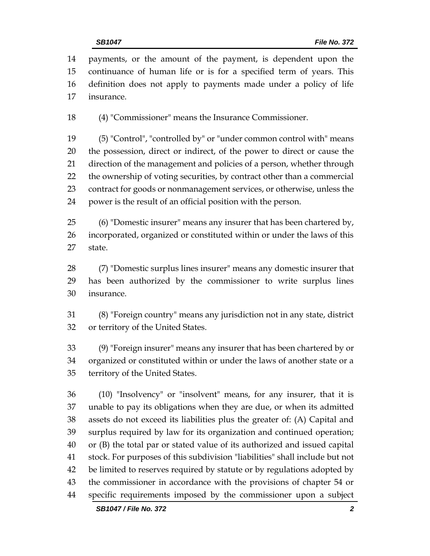payments, or the amount of the payment, is dependent upon the continuance of human life or is for a specified term of years. This definition does not apply to payments made under a policy of life insurance.

(4) "Commissioner" means the Insurance Commissioner.

 (5) "Control", "controlled by" or "under common control with" means the possession, direct or indirect, of the power to direct or cause the direction of the management and policies of a person, whether through the ownership of voting securities, by contract other than a commercial contract for goods or nonmanagement services, or otherwise, unless the power is the result of an official position with the person.

 (6) "Domestic insurer" means any insurer that has been chartered by, incorporated, organized or constituted within or under the laws of this state.

 (7) "Domestic surplus lines insurer" means any domestic insurer that has been authorized by the commissioner to write surplus lines insurance.

 (8) "Foreign country" means any jurisdiction not in any state, district or territory of the United States.

 (9) "Foreign insurer" means any insurer that has been chartered by or organized or constituted within or under the laws of another state or a territory of the United States.

 (10) "Insolvency" or "insolvent" means, for any insurer, that it is unable to pay its obligations when they are due, or when its admitted assets do not exceed its liabilities plus the greater of: (A) Capital and surplus required by law for its organization and continued operation; or (B) the total par or stated value of its authorized and issued capital stock. For purposes of this subdivision "liabilities" shall include but not be limited to reserves required by statute or by regulations adopted by the commissioner in accordance with the provisions of chapter 54 or specific requirements imposed by the commissioner upon a subject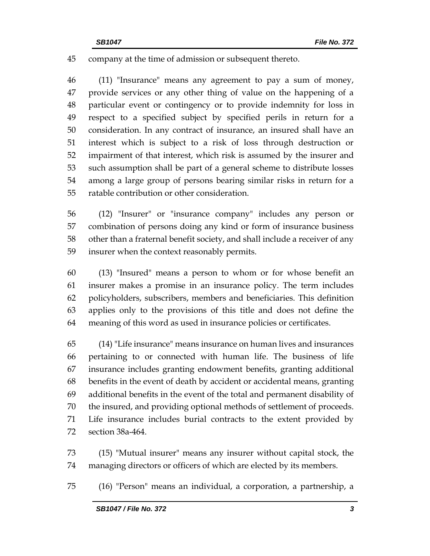company at the time of admission or subsequent thereto.

 (11) "Insurance" means any agreement to pay a sum of money, provide services or any other thing of value on the happening of a particular event or contingency or to provide indemnity for loss in respect to a specified subject by specified perils in return for a consideration. In any contract of insurance, an insured shall have an interest which is subject to a risk of loss through destruction or impairment of that interest, which risk is assumed by the insurer and such assumption shall be part of a general scheme to distribute losses among a large group of persons bearing similar risks in return for a ratable contribution or other consideration.

 (12) "Insurer" or "insurance company" includes any person or combination of persons doing any kind or form of insurance business other than a fraternal benefit society, and shall include a receiver of any insurer when the context reasonably permits.

 (13) "Insured" means a person to whom or for whose benefit an insurer makes a promise in an insurance policy. The term includes policyholders, subscribers, members and beneficiaries. This definition applies only to the provisions of this title and does not define the meaning of this word as used in insurance policies or certificates.

 (14) "Life insurance" means insurance on human lives and insurances pertaining to or connected with human life. The business of life insurance includes granting endowment benefits, granting additional benefits in the event of death by accident or accidental means, granting additional benefits in the event of the total and permanent disability of the insured, and providing optional methods of settlement of proceeds. Life insurance includes burial contracts to the extent provided by section 38a-464.

 (15) "Mutual insurer" means any insurer without capital stock, the managing directors or officers of which are elected by its members.

(16) "Person" means an individual, a corporation, a partnership, a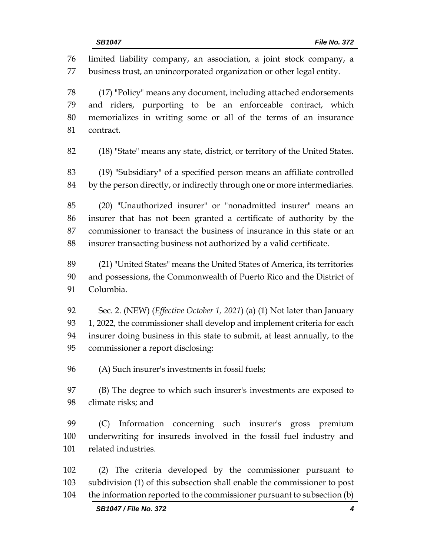limited liability company, an association, a joint stock company, a business trust, an unincorporated organization or other legal entity. (17) "Policy" means any document, including attached endorsements and riders, purporting to be an enforceable contract, which memorializes in writing some or all of the terms of an insurance contract. (18) "State" means any state, district, or territory of the United States. (19) "Subsidiary" of a specified person means an affiliate controlled 84 by the person directly, or indirectly through one or more intermediaries. (20) "Unauthorized insurer" or "nonadmitted insurer" means an insurer that has not been granted a certificate of authority by the commissioner to transact the business of insurance in this state or an insurer transacting business not authorized by a valid certificate. (21) "United States" means the United States of America, its territories and possessions, the Commonwealth of Puerto Rico and the District of Columbia. Sec. 2. (NEW) (*Effective October 1, 2021*) (a) (1) Not later than January 93 1, 2022, the commissioner shall develop and implement criteria for each insurer doing business in this state to submit, at least annually, to the commissioner a report disclosing: (A) Such insurer's investments in fossil fuels; (B) The degree to which such insurer's investments are exposed to climate risks; and (C) Information concerning such insurer's gross premium underwriting for insureds involved in the fossil fuel industry and related industries. (2) The criteria developed by the commissioner pursuant to subdivision (1) of this subsection shall enable the commissioner to post the information reported to the commissioner pursuant to subsection (b)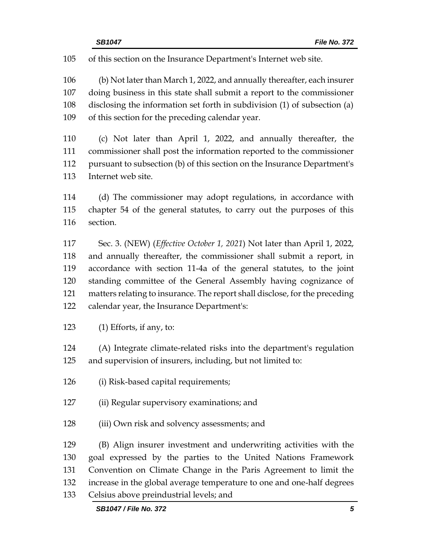of this section on the Insurance Department's Internet web site.

 (b) Not later than March 1, 2022, and annually thereafter, each insurer doing business in this state shall submit a report to the commissioner disclosing the information set forth in subdivision (1) of subsection (a) of this section for the preceding calendar year.

 (c) Not later than April 1, 2022, and annually thereafter, the commissioner shall post the information reported to the commissioner pursuant to subsection (b) of this section on the Insurance Department's Internet web site.

 (d) The commissioner may adopt regulations, in accordance with chapter 54 of the general statutes, to carry out the purposes of this section.

 Sec. 3. (NEW) (*Effective October 1, 2021*) Not later than April 1, 2022, and annually thereafter, the commissioner shall submit a report, in accordance with section 11-4a of the general statutes, to the joint standing committee of the General Assembly having cognizance of matters relating to insurance. The report shall disclose, for the preceding calendar year, the Insurance Department's:

(1) Efforts, if any, to:

 (A) Integrate climate-related risks into the department's regulation and supervision of insurers, including, but not limited to:

- (i) Risk-based capital requirements;
- (ii) Regular supervisory examinations; and
- (iii) Own risk and solvency assessments; and

 (B) Align insurer investment and underwriting activities with the goal expressed by the parties to the United Nations Framework Convention on Climate Change in the Paris Agreement to limit the increase in the global average temperature to one and one-half degrees Celsius above preindustrial levels; and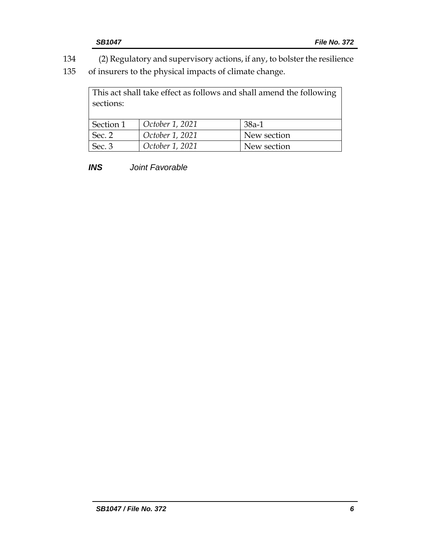134 (2) Regulatory and supervisory actions, if any, to bolster the resilience

135 of insurers to the physical impacts of climate change.

This act shall take effect as follows and shall amend the following sections: Section 1 *October 1, 2021* 38a-1 Sec. 2 *October 1, 2021* New section Sec. 3 *October 1, 2021* New section

*INS Joint Favorable*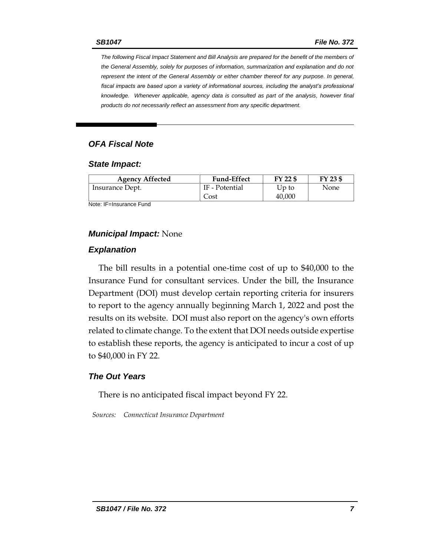*The following Fiscal Impact Statement and Bill Analysis are prepared for the benefit of the members of the General Assembly, solely for purposes of information, summarization and explanation and do not represent the intent of the General Assembly or either chamber thereof for any purpose. In general,*  fiscal impacts are based upon a variety of informational sources, including the analyst's professional *knowledge. Whenever applicable, agency data is consulted as part of the analysis, however final products do not necessarily reflect an assessment from any specific department.*

#### *OFA Fiscal Note*

#### *State Impact:*

| <b>Agency Affected</b> | <b>Fund-Effect</b> | FY 22 \$ | FY 23 \$ |
|------------------------|--------------------|----------|----------|
| Insurance Dept.        | IF - Potential     | Up to    | None     |
|                        | Cost               | 40,000   |          |

Note: IF=Insurance Fund

#### *Municipal Impact:* None

#### *Explanation*

The bill results in a potential one-time cost of up to \$40,000 to the Insurance Fund for consultant services. Under the bill, the Insurance Department (DOI) must develop certain reporting criteria for insurers to report to the agency annually beginning March 1, 2022 and post the results on its website. DOI must also report on the agency's own efforts related to climate change. To the extent that DOI needs outside expertise to establish these reports, the agency is anticipated to incur a cost of up to \$40,000 in FY 22.

#### *The Out Years*

There is no anticipated fiscal impact beyond FY 22.

*Sources: Connecticut Insurance Department*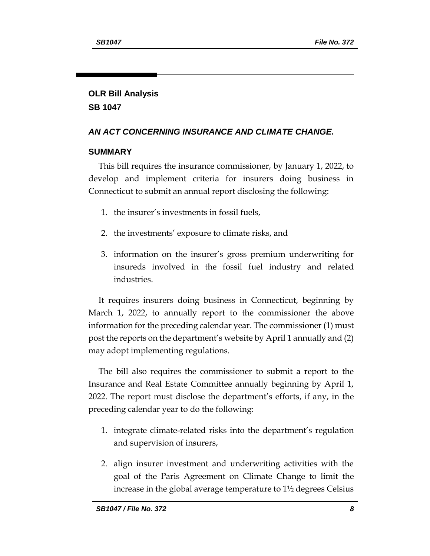# **OLR Bill Analysis SB 1047**

# *AN ACT CONCERNING INSURANCE AND CLIMATE CHANGE.*

### **SUMMARY**

This bill requires the insurance commissioner, by January 1, 2022, to develop and implement criteria for insurers doing business in Connecticut to submit an annual report disclosing the following:

- 1. the insurer's investments in fossil fuels,
- 2. the investments' exposure to climate risks, and
- 3. information on the insurer's gross premium underwriting for insureds involved in the fossil fuel industry and related industries.

It requires insurers doing business in Connecticut, beginning by March 1, 2022, to annually report to the commissioner the above information for the preceding calendar year. The commissioner (1) must post the reports on the department's website by April 1 annually and (2) may adopt implementing regulations.

The bill also requires the commissioner to submit a report to the Insurance and Real Estate Committee annually beginning by April 1, 2022. The report must disclose the department's efforts, if any, in the preceding calendar year to do the following:

- 1. integrate climate-related risks into the department's regulation and supervision of insurers,
- 2. align insurer investment and underwriting activities with the goal of the Paris Agreement on Climate Change to limit the increase in the global average temperature to 1½ degrees Celsius